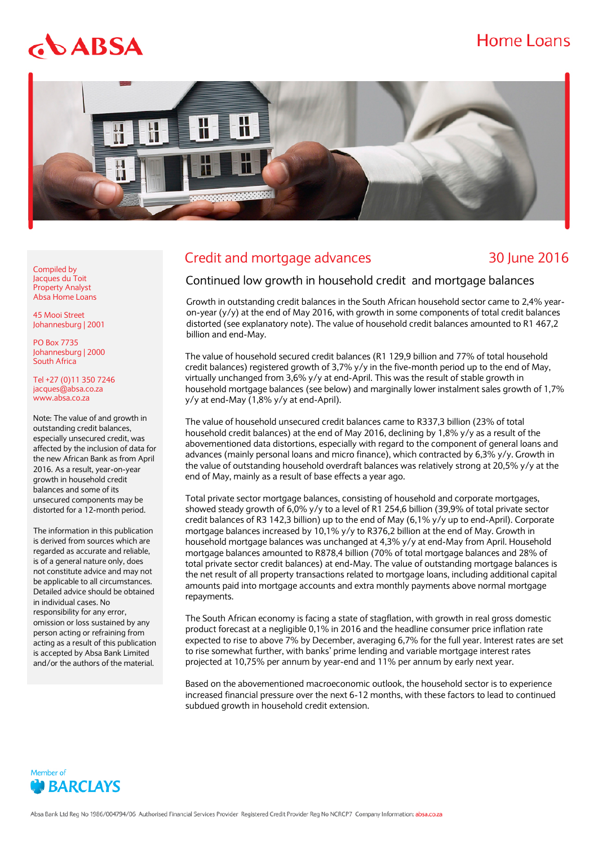## **Home Loans**

# $$



### Credit and mortgage advances 30 June 2016

Compiled by Jacques du Toit Property Analyst Absa Home Loans

45 Mooi Street Johannesburg | 2001

PO Box 7735 Johannesburg | 2000 South Africa

Tel +27 (0)11 350 7246 jacques@absa.co.za [www.absa.co.za](http://www.absa.co.za/)

Note: The value of and growth in outstanding credit balances, especially unsecured credit, was affected by the inclusion of data for the new African Bank as from April 2016. As a result, year-on-year growth in household credit balances and some of its unsecured components may be distorted for a 12-month period.

The information in this publication is derived from sources which are regarded as accurate and reliable, is of a general nature only, does not constitute advice and may not be applicable to all circumstances. Detailed advice should be obtained in individual cases. No responsibility for any error, omission or loss sustained by any person acting or refraining from acting as a result of this publication is accepted by Absa Bank Limited and/or the authors of the material.

#### Continued low growth in household credit and mortgage balances

Growth in outstanding credit balances in the South African household sector came to 2,4% yearon-year (y/y) at the end of May 2016, with growth in some components of total credit balances distorted (see explanatory note). The value of household credit balances amounted to R1 467,2 billion and end-May.

The value of household secured credit balances (R1 129,9 billion and 77% of total household credit balances) registered growth of 3,7% y/y in the five-month period up to the end of May, virtually unchanged from 3,6% y/y at end-April. This was the result of stable growth in household mortgage balances (see below) and marginally lower instalment sales growth of 1,7% y/y at end-May (1,8% y/y at end-April).

The value of household unsecured credit balances came to R337,3 billion (23% of total household credit balances) at the end of May 2016, declining by 1,8% y/y as a result of the abovementioned data distortions, especially with regard to the component of general loans and advances (mainly personal loans and micro finance), which contracted by 6,3% y/y. Growth in the value of outstanding household overdraft balances was relatively strong at 20,5% y/y at the end of May, mainly as a result of base effects a year ago.

Total private sector mortgage balances, consisting of household and corporate mortgages, showed steady growth of 6,0% y/y to a level of R1 254,6 billion (39,9% of total private sector credit balances of R3 142,3 billion) up to the end of May (6,1% y/y up to end-April). Corporate mortgage balances increased by 10,1% y/y to R376,2 billion at the end of May. Growth in household mortgage balances was unchanged at 4,3% y/y at end-May from April. Household mortgage balances amounted to R878,4 billion (70% of total mortgage balances and 28% of total private sector credit balances) at end-May. The value of outstanding mortgage balances is the net result of all property transactions related to mortgage loans, including additional capital amounts paid into mortgage accounts and extra monthly payments above normal mortgage repayments.

The South African economy is facing a state of stagflation, with growth in real gross domestic product forecast at a negligible 0,1% in 2016 and the headline consumer price inflation rate expected to rise to above 7% by December, averaging 6,7% for the full year. Interest rates are set to rise somewhat further, with banks' prime lending and variable mortgage interest rates projected at 10,75% per annum by year-end and 11% per annum by early next year.

Based on the abovementioned macroeconomic outlook, the household sector is to experience increased financial pressure over the next 6-12 months, with these factors to lead to continued subdued growth in household credit extension.

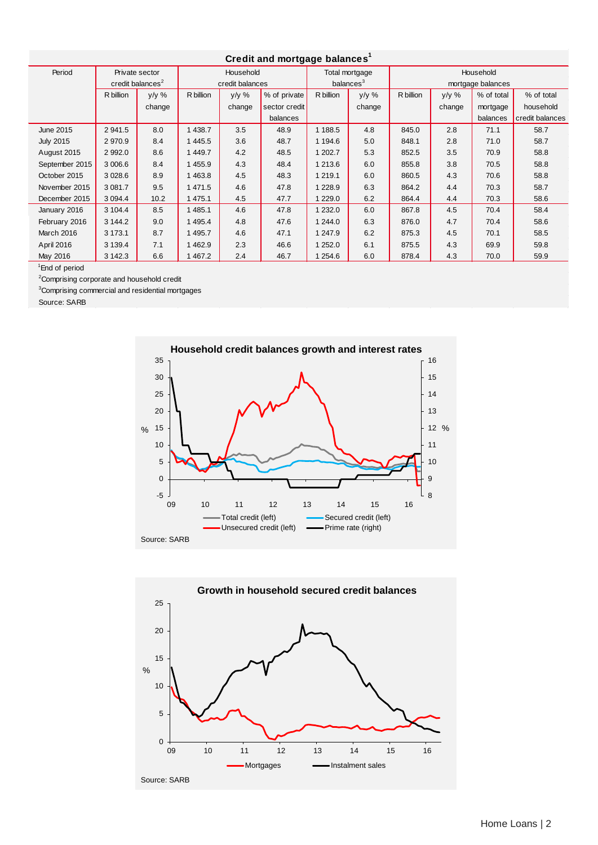| Credit and mortgage balances <sup>1</sup> |                              |         |                 |         |               |                       |        |                   |        |            |                 |
|-------------------------------------------|------------------------------|---------|-----------------|---------|---------------|-----------------------|--------|-------------------|--------|------------|-----------------|
| Period                                    | Private sector               |         | Household       |         |               | Total mortgage        |        | Household         |        |            |                 |
|                                           | credit balances <sup>2</sup> |         | credit balances |         |               | balances <sup>3</sup> |        | mortgage balances |        |            |                 |
|                                           | R billion                    | $y/y$ % | R billion       | $y/y$ % | % of private  | R billion             | y/y %  | R billion         | y/y %  | % of total | % of total      |
|                                           |                              | change  |                 | change  | sector credit |                       | change |                   | change | mortgage   | household       |
|                                           |                              |         |                 |         | balances      |                       |        |                   |        | balances   | credit balances |
| <b>June 2015</b>                          | 2 941.5                      | 8.0     | 1 438.7         | 3.5     | 48.9          | 1 188.5               | 4.8    | 845.0             | 2.8    | 71.1       | 58.7            |
| <b>July 2015</b>                          | 2970.9                       | 8.4     | 1 445.5         | 3.6     | 48.7          | 1 194.6               | 5.0    | 848.1             | 2.8    | 71.0       | 58.7            |
| August 2015                               | 2 9 9 2.0                    | 8.6     | 1 449.7         | 4.2     | 48.5          | 1 202.7               | 5.3    | 852.5             | 3.5    | 70.9       | 58.8            |
| September 2015                            | 3 006.6                      | 8.4     | 1455.9          | 4.3     | 48.4          | 1 213.6               | 6.0    | 855.8             | 3.8    | 70.5       | 58.8            |
| October 2015                              | 3 0 28.6                     | 8.9     | 1 4 6 3.8       | 4.5     | 48.3          | 1 219.1               | 6.0    | 860.5             | 4.3    | 70.6       | 58.8            |
| November 2015                             | 3 0 8 1.7                    | 9.5     | 1 471.5         | 4.6     | 47.8          | 1 2 2 8.9             | 6.3    | 864.2             | 4.4    | 70.3       | 58.7            |
| December 2015                             | 3 0 9 4 .4                   | 10.2    | 1 475.1         | 4.5     | 47.7          | 1 2 2 9 . 0           | 6.2    | 864.4             | 4.4    | 70.3       | 58.6            |
| January 2016                              | 3 104.4                      | 8.5     | 1 485.1         | 4.6     | 47.8          | 1 2 3 2.0             | 6.0    | 867.8             | 4.5    | 70.4       | 58.4            |
| February 2016                             | 3 144.2                      | 9.0     | 1 495.4         | 4.8     | 47.6          | 1 244.0               | 6.3    | 876.0             | 4.7    | 70.4       | 58.6            |
| <b>March 2016</b>                         | 3 173.1                      | 8.7     | 1 495.7         | 4.6     | 47.1          | 1 247.9               | 6.2    | 875.3             | 4.5    | 70.1       | 58.5            |
| April 2016                                | 3 1 3 9.4                    | 7.1     | 1462.9          | 2.3     | 46.6          | 1 252.0               | 6.1    | 875.5             | 4.3    | 69.9       | 59.8            |
| May 2016                                  | 3 142.3                      | 6.6     | 1467.2          | 2.4     | 46.7          | 1 254.6               | 6.0    | 878.4             | 4.3    | 70.0       | 59.9            |

<sup>1</sup>End of period

<sup>2</sup> Comprising corporate and household credit

<sup>3</sup>Comprising commercial and residential mortgages

Source: SARB